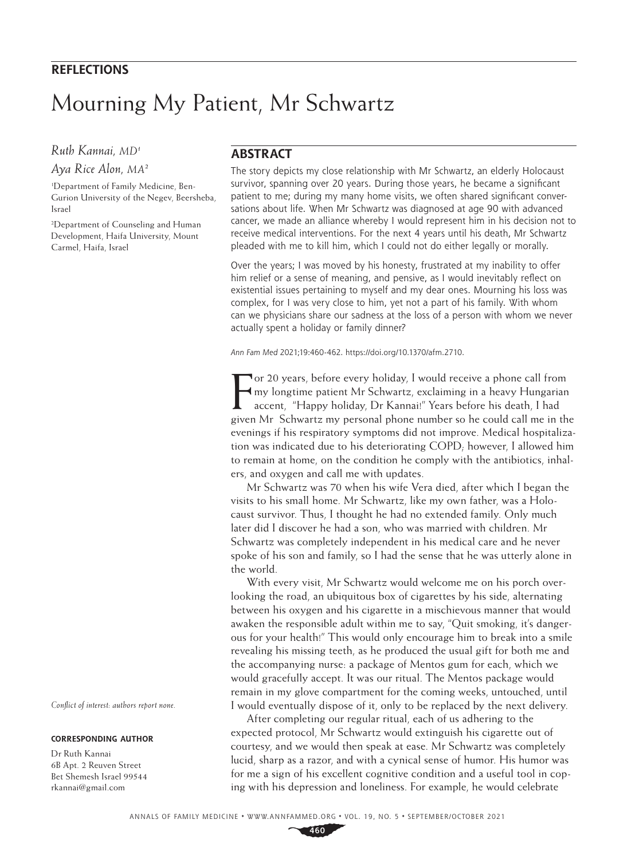## **REFLECTIONS**

# Mourning My Patient, Mr Schwartz

### *Ruth Kannai, MD1*

*Aya Rice Alon, MA2*

1 Department of Family Medicine, Ben-Gurion University of the Negev, Beersheba, Israel

2 Department of Counseling and Human Development, Haifa University, Mount Carmel, Haifa, Israel

#### **ABSTRACT**

The story depicts my close relationship with Mr Schwartz, an elderly Holocaust survivor, spanning over 20 years. During those years, he became a significant patient to me; during my many home visits, we often shared significant conversations about life. When Mr Schwartz was diagnosed at age 90 with advanced cancer, we made an alliance whereby I would represent him in his decision not to receive medical interventions. For the next 4 years until his death, Mr Schwartz pleaded with me to kill him, which I could not do either legally or morally.

Over the years; I was moved by his honesty, frustrated at my inability to offer him relief or a sense of meaning, and pensive, as I would inevitably reflect on existential issues pertaining to myself and my dear ones. Mourning his loss was complex, for I was very close to him, yet not a part of his family. With whom can we physicians share our sadness at the loss of a person with whom we never actually spent a holiday or family dinner?

*Ann Fam Med* 2021;19:460-462. <https://doi.org/10.1370/afm.2710>.

For 20 years, before every holiday, I would receive a phone call from<br>
Imy longtime patient Mr Schwartz, exclaiming in a heavy Hungarian<br>
accent, "Happy holiday, Dr Kannai!" Years before his death, I had<br>
given Mr Schwartz or 20 years, before every holiday, I would receive a phone call from my longtime patient Mr Schwartz, exclaiming in a heavy Hungarian accent, "Happy holiday, Dr Kannai!" Years before his death, I had evenings if his respiratory symptoms did not improve. Medical hospitalization was indicated due to his deteriorating COPD; however, I allowed him to remain at home, on the condition he comply with the antibiotics, inhalers, and oxygen and call me with updates.

Mr Schwartz was 70 when his wife Vera died, after which I began the visits to his small home. Mr Schwartz, like my own father, was a Holocaust survivor. Thus, I thought he had no extended family. Only much later did I discover he had a son, who was married with children. Mr Schwartz was completely independent in his medical care and he never spoke of his son and family, so I had the sense that he was utterly alone in the world.

With every visit, Mr Schwartz would welcome me on his porch overlooking the road, an ubiquitous box of cigarettes by his side, alternating between his oxygen and his cigarette in a mischievous manner that would awaken the responsible adult within me to say, "Quit smoking, it's dangerous for your health!" This would only encourage him to break into a smile revealing his missing teeth, as he produced the usual gift for both me and the accompanying nurse: a package of Mentos gum for each, which we would gracefully accept. It was our ritual. The Mentos package would remain in my glove compartment for the coming weeks, untouched, until I would eventually dispose of it, only to be replaced by the next delivery.

After completing our regular ritual, each of us adhering to the expected protocol, Mr Schwartz would extinguish his cigarette out of courtesy, and we would then speak at ease. Mr Schwartz was completely lucid, sharp as a razor, and with a cynical sense of humor. His humor was for me a sign of his excellent cognitive condition and a useful tool in coping with his depression and loneliness. For example, he would celebrate

*Conflict of interest: authors report none.*

#### **CORRESPONDING AUTHOR**

Dr Ruth Kannai 6B Apt. 2 Reuven Street Bet Shemesh Israel 99544 [rkannai@gmail.com](mailto:rkannai@gmail.com)

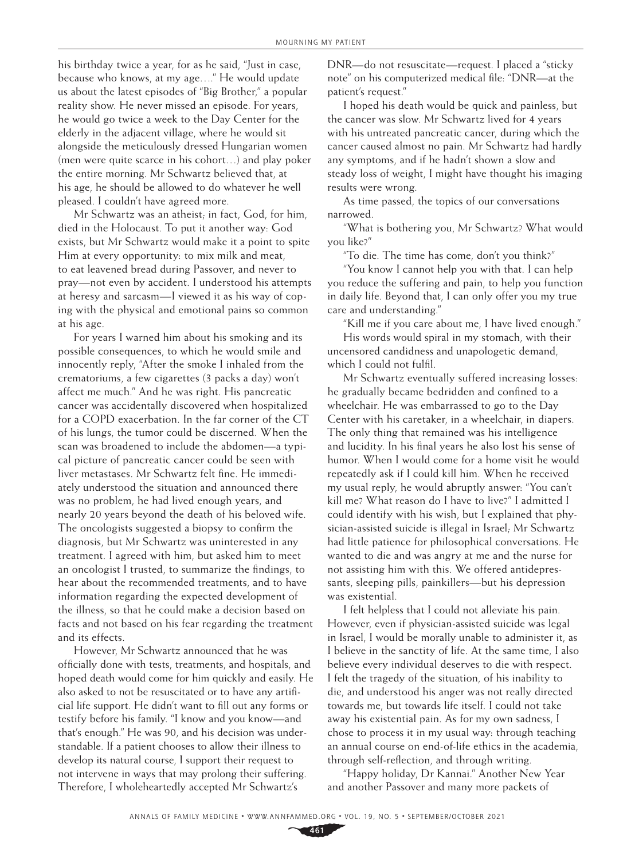his birthday twice a year, for as he said, "Just in case, because who knows, at my age…." He would update us about the latest episodes of "Big Brother," a popular reality show. He never missed an episode. For years, he would go twice a week to the Day Center for the elderly in the adjacent village, where he would sit alongside the meticulously dressed Hungarian women (men were quite scarce in his cohort…) and play poker the entire morning. Mr Schwartz believed that, at his age, he should be allowed to do whatever he well pleased. I couldn't have agreed more.

Mr Schwartz was an atheist; in fact, God, for him, died in the Holocaust. To put it another way: God exists, but Mr Schwartz would make it a point to spite Him at every opportunity: to mix milk and meat, to eat leavened bread during Passover, and never to pray—not even by accident. I understood his attempts at heresy and sarcasm—I viewed it as his way of coping with the physical and emotional pains so common at his age.

For years I warned him about his smoking and its possible consequences, to which he would smile and innocently reply, "After the smoke I inhaled from the crematoriums, a few cigarettes (3 packs a day) won't affect me much." And he was right. His pancreatic cancer was accidentally discovered when hospitalized for a COPD exacerbation. In the far corner of the CT of his lungs, the tumor could be discerned. When the scan was broadened to include the abdomen—a typical picture of pancreatic cancer could be seen with liver metastases. Mr Schwartz felt fine. He immediately understood the situation and announced there was no problem, he had lived enough years, and nearly 20 years beyond the death of his beloved wife. The oncologists suggested a biopsy to confirm the diagnosis, but Mr Schwartz was uninterested in any treatment. I agreed with him, but asked him to meet an oncologist I trusted, to summarize the findings, to hear about the recommended treatments, and to have information regarding the expected development of the illness, so that he could make a decision based on facts and not based on his fear regarding the treatment and its effects.

However, Mr Schwartz announced that he was officially done with tests, treatments, and hospitals, and hoped death would come for him quickly and easily. He also asked to not be resuscitated or to have any artificial life support. He didn't want to fill out any forms or testify before his family. "I know and you know—and that's enough." He was 90, and his decision was understandable. If a patient chooses to allow their illness to develop its natural course, I support their request to not intervene in ways that may prolong their suffering. Therefore, I wholeheartedly accepted Mr Schwartz's

DNR—do not resuscitate—request. I placed a "sticky note" on his computerized medical file: "DNR—at the patient's request."

I hoped his death would be quick and painless, but the cancer was slow. Mr Schwartz lived for 4 years with his untreated pancreatic cancer, during which the cancer caused almost no pain. Mr Schwartz had hardly any symptoms, and if he hadn't shown a slow and steady loss of weight, I might have thought his imaging results were wrong.

As time passed, the topics of our conversations narrowed.

"What is bothering you, Mr Schwartz? What would you like?"

"To die. The time has come, don't you think?"

"You know I cannot help you with that. I can help you reduce the suffering and pain, to help you function in daily life. Beyond that, I can only offer you my true care and understanding."

"Kill me if you care about me, I have lived enough." His words would spiral in my stomach, with their uncensored candidness and unapologetic demand, which I could not fulfil.

Mr Schwartz eventually suffered increasing losses: he gradually became bedridden and confined to a wheelchair. He was embarrassed to go to the Day Center with his caretaker, in a wheelchair, in diapers. The only thing that remained was his intelligence and lucidity. In his final years he also lost his sense of humor. When I would come for a home visit he would repeatedly ask if I could kill him. When he received my usual reply, he would abruptly answer: "You can't kill me? What reason do I have to live?" I admitted I could identify with his wish, but I explained that physician-assisted suicide is illegal in Israel; Mr Schwartz had little patience for philosophical conversations. He wanted to die and was angry at me and the nurse for not assisting him with this. We offered antidepressants, sleeping pills, painkillers—but his depression was existential.

I felt helpless that I could not alleviate his pain. However, even if physician-assisted suicide was legal in Israel, I would be morally unable to administer it, as I believe in the sanctity of life. At the same time, I also believe every individual deserves to die with respect. I felt the tragedy of the situation, of his inability to die, and understood his anger was not really directed towards me, but towards life itself. I could not take away his existential pain. As for my own sadness, I chose to process it in my usual way: through teaching an annual course on end-of-life ethics in the academia, through self-reflection, and through writing.

"Happy holiday, Dr Kannai." Another New Year and another Passover and many more packets of

**461**